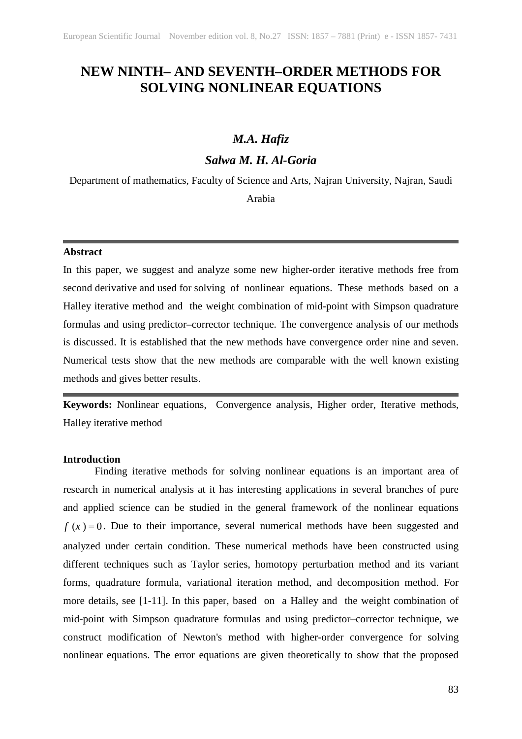# **NEW NINTH– AND SEVENTH–ORDER METHODS FOR SOLVING NONLINEAR EQUATIONS**

# *M.A. Hafiz*

# *Salwa M. H. Al-Goria*

Department of mathematics, Faculty of Science and Аrts, Najran University, Najran, Saudi

# Arabia

#### **Abstract**

In this paper, we suggest and analyze some new higher-order iterative methods free from second derivative and used for solving of nonlinear equations. These methods based on a Halley iterative method and the weight combination of mid-point with Simpson quadrature formulas and using predictor–corrector technique. The convergence analysis of our methods is discussed. It is established that the new methods have convergence order nine and seven. Numerical tests show that the new methods are comparable with the well known existing methods and gives better results.

**Keywords:** Nonlinear equations, Convergence analysis, Higher order, Iterative methods, Halley iterative method

## **Introduction**

Finding iterative methods for solving nonlinear equations is an important area of research in numerical analysis at it has interesting applications in several branches of pure and applied science can be studied in the general framework of the nonlinear equations  $f(x) = 0$ . Due to their importance, several numerical methods have been suggested and analyzed under certain condition. These numerical methods have been constructed using different techniques such as Taylor series, homotopy perturbation method and its variant forms, quadrature formula, variational iteration method, and decomposition method. For more details, see [1-11]. In this paper, based on a Halley and the weight combination of mid-point with Simpson quadrature formulas and using predictor–corrector technique, we construct modification of Newton's method with higher-order convergence for solving nonlinear equations. The error equations are given theoretically to show that the proposed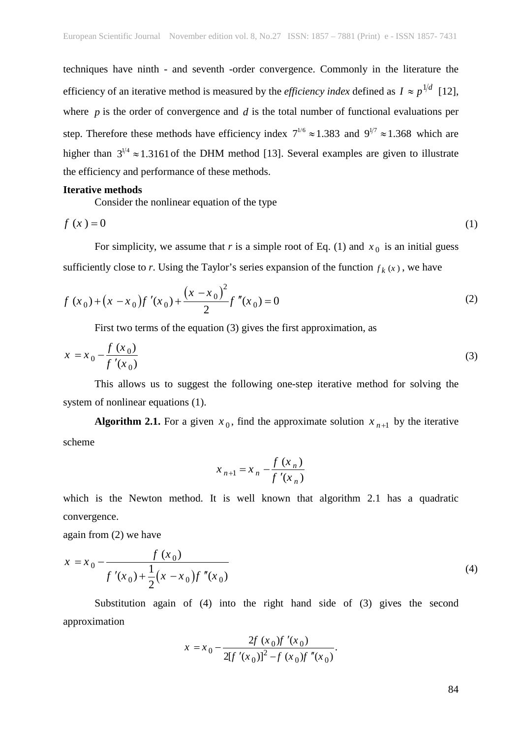techniques have ninth - and seventh -order convergence. Commonly in the literature the efficiency of an iterative method is measured by the *efficiency index* defined as  $I \approx p^{1/d}$  [12], where *p* is the order of convergence and *d* is the total number of functional evaluations per step. Therefore these methods have efficiency index  $7^{1/6} \approx 1.383$  and  $9^{1/7} \approx 1.368$  which are higher than  $3^{1/4} \approx 1.3161$  of the DHM method [13]. Several examples are given to illustrate the efficiency and performance of these methods.

#### **Iterative methods**

Consider the nonlinear equation of the type

$$
f(x) = 0 \tag{1}
$$

For simplicity, we assume that *r* is a simple root of Eq. (1) and  $x_0$  is an initial guess sufficiently close to *r*. Using the Taylor's series expansion of the function  $f_k(x)$ , we have

$$
f(x_0) + (x - x_0)f'(x_0) + \frac{(x - x_0)^2}{2}f''(x_0) = 0
$$
\n(2)

First two terms of the equation (3) gives the first approximation, as

$$
x = x_0 - \frac{f(x_0)}{f'(x_0)}
$$
 (3)

This allows us to suggest the following one-step iterative method for solving the system of nonlinear equations (1).

**Algorithm 2.1.** For a given  $x_0$ , find the approximate solution  $x_{n+1}$  by the iterative scheme

$$
x_{n+1} = x_n - \frac{f(x_n)}{f'(x_n)}
$$

which is the Newton method. It is well known that algorithm 2.1 has a quadratic convergence.

again from (2) we have

$$
x = x_0 - \frac{f(x_0)}{f'(x_0) + \frac{1}{2}(x - x_0)f''(x_0)}
$$
\n(4)

Substitution again of (4) into the right hand side of (3) gives the second approximation

$$
x = x_0 - \frac{2f(x_0)f'(x_0)}{2[f'(x_0)]^2 - f(x_0)f''(x_0)}.
$$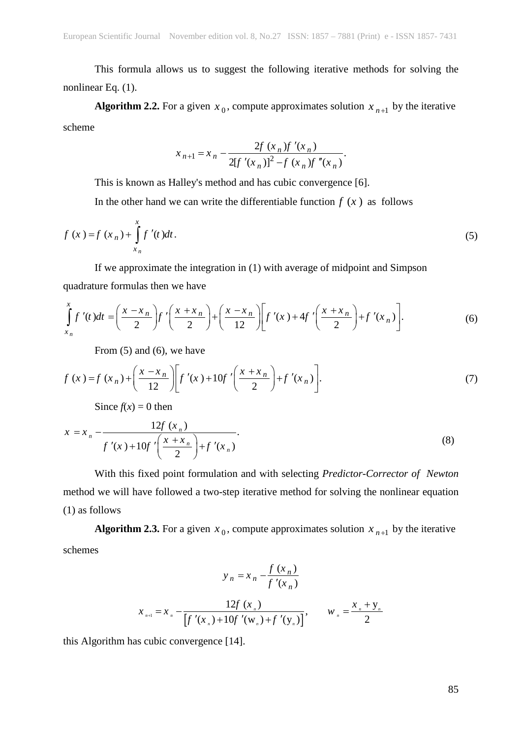This formula allows us to suggest the following iterative methods for solving the nonlinear Eq. (1).

**Algorithm 2.2.** For a given  $x_0$ , compute approximates solution  $x_{n+1}$  by the iterative scheme

$$
x_{n+1} = x_n - \frac{2f(x_n)f'(x_n)}{2[f'(x_n)]^2 - f(x_n)f''(x_n)}.
$$

This is known as Halley's method and has cubic convergence [6].

In the other hand we can write the differentiable function  $f(x)$  as follows

$$
f(x) = f(x_n) + \int_{x_n}^{x} f'(t)dt.
$$
 (5)

If we approximate the integration in (1) with average of midpoint and Simpson quadrature formulas then we have

$$
\int_{x_n}^x f'(t)dt = \left(\frac{x - x_n}{2}\right) f'\left(\frac{x + x_n}{2}\right) + \left(\frac{x - x_n}{12}\right) \left[ f'(x) + 4f'\left(\frac{x + x_n}{2}\right) + f'(x_n) \right].\tag{6}
$$

From (5) and (6), we have

$$
f(x) = f(x_n) + \left(\frac{x - x_n}{12}\right) \left[ f'(x) + 10f'\left(\frac{x + x_n}{2}\right) + f'(x_n) \right].
$$
 (7)

Since  $f(x) = 0$  then

$$
x = x_n - \frac{12f(x_n)}{f'(x) + 10f'\left(\frac{x + x_n}{2}\right) + f'(x_n)}.
$$
\n(8)

With this fixed point formulation and with selecting *Predictor-Corrector of Newton*  method we will have followed a two-step iterative method for solving the nonlinear equation (1) as follows

**Algorithm 2.3.** For a given  $x_0$ , compute approximates solution  $x_{n+1}$  by the iterative schemes

$$
y_{n} = x_{n} - \frac{f(x_{n})}{f'(x_{n})}
$$
  

$$
x_{n+1} = x_{n} - \frac{12f(x_{n})}{[f'(x_{n}) + 10f'(x_{n}) + f'(y_{n})]}, \qquad w_{n} = \frac{x_{n} + y_{n}}{2}
$$

this Algorithm has cubic convergence [14].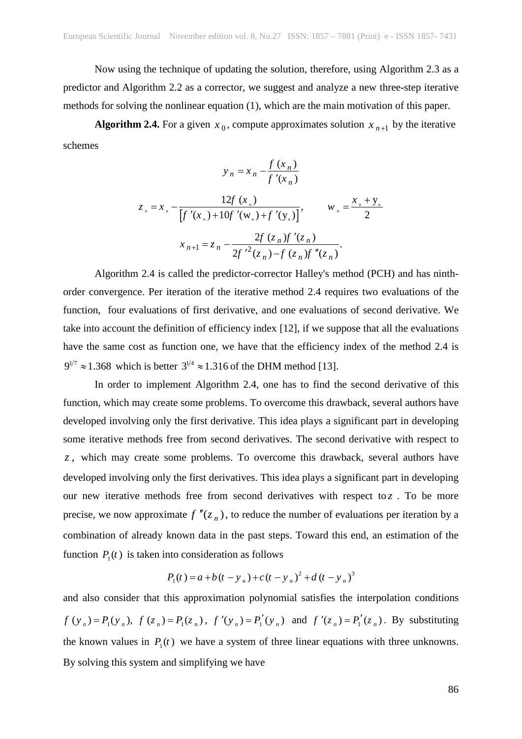Now using the technique of updating the solution, therefore, using Algorithm 2.3 as a predictor and Algorithm 2.2 as a corrector, we suggest and analyze a new three-step iterative methods for solving the nonlinear equation (1), which are the main motivation of this paper.

**Algorithm 2.4.** For a given  $x_0$ , compute approximates solution  $x_{n+1}$  by the iterative schemes

$$
y_n = x_n - \frac{f(x_n)}{f'(x_n)}
$$

$$
z_{n} = x_{n} - \frac{12f(x_{n})}{[f'(x_{n})+10f'(w_{n})+f'(y_{n})]}, \qquad w_{n} = \frac{x_{n}+y_{n}}{2}
$$

$$
x_{n+1} = z_{n} - \frac{2f(z_{n})f'(z_{n})}{2f'^{2}(z_{n})-f(z_{n})f''(z_{n})}.
$$

Algorithm 2.4 is called the predictor-corrector Halley's method (PCH) and has ninthorder convergence. Per iteration of the iterative method 2.4 requires two evaluations of the function, four evaluations of first derivative, and one evaluations of second derivative. We take into account the definition of efficiency index [12], if we suppose that all the evaluations have the same cost as function one, we have that the efficiency index of the method 2.4 is  $9^{1/7} \approx 1.368$  which is better  $3^{1/4} \approx 1.316$  of the DHM method [13].

In order to implement Algorithm 2.4, one has to find the second derivative of this function, which may create some problems. To overcome this drawback, several authors have developed involving only the first derivative. This idea plays a significant part in developing some iterative methods free from second derivatives. The second derivative with respect to *z* , which may create some problems. To overcome this drawback, several authors have developed involving only the first derivatives. This idea plays a significant part in developing our new iterative methods free from second derivatives with respect to  $z$ . To be more precise, we now approximate  $f''(z_n)$ , to reduce the number of evaluations per iteration by a combination of already known data in the past steps. Toward this end, an estimation of the function  $P_1(t)$  is taken into consideration as follows

$$
P_1(t) = a + b(t - y_n) + c(t - y_n)^2 + d(t - y_n)^3
$$

and also consider that this approximation polynomial satisfies the interpolation conditions  $f(y_n) = P_1(y_n)$ ,  $f(z_n) = P_1(z_n)$ ,  $f'(y_n) = P_1'(y_n)$  and  $f'(z_n) = P_1'(z_n)$ . By substituting the known values in  $P_1(t)$  we have a system of three linear equations with three unknowns. By solving this system and simplifying we have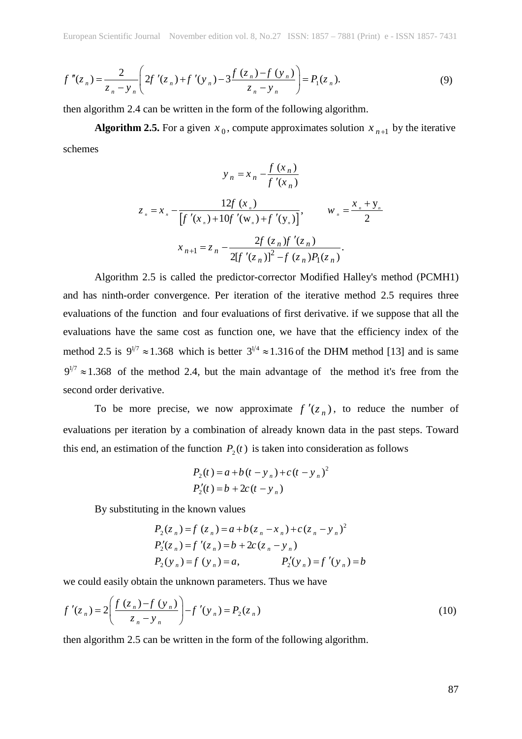$$
f''(z_n) = \frac{2}{z_n - y_n} \left( 2f'(z_n) + f'(y_n) - 3 \frac{f(z_n) - f(y_n)}{z_n - y_n} \right) = P_1(z_n).
$$
 (9)

then algorithm 2.4 can be written in the form of the following algorithm.

**Algorithm 2.5.** For a given  $x_0$ , compute approximates solution  $x_{n+1}$  by the iterative schemes

$$
y_{n} = x_{n} - \frac{f(x_{n})}{f'(x_{n})}
$$
  

$$
z_{n} = x_{n} - \frac{12f(x_{n})}{[f'(x_{n})+10f'(w_{n})+f'(y_{n})]}, \qquad w_{n} = \frac{x_{n} + y_{n}}{2}
$$
  

$$
x_{n+1} = z_{n} - \frac{2f(z_{n})f'(z_{n})}{2[f'(z_{n})]^{2} - f(z_{n})P_{1}(z_{n})}.
$$

Algorithm 2.5 is called the predictor-corrector Modified Halley's method (PCMH1) and has ninth-order convergence. Per iteration of the iterative method 2.5 requires three evaluations of the function and four evaluations of first derivative. if we suppose that all the evaluations have the same cost as function one, we have that the efficiency index of the method 2.5 is  $9^{1/7} \approx 1.368$  which is better  $3^{1/4} \approx 1.316$  of the DHM method [13] and is same  $9^{1/7} \approx 1.368$  of the method 2.4, but the main advantage of the method it's free from the second order derivative.

To be more precise, we now approximate  $f'(z_n)$ , to reduce the number of evaluations per iteration by a combination of already known data in the past steps. Toward this end, an estimation of the function  $P_2(t)$  is taken into consideration as follows

$$
P_2(t) = a + b(t - y_n) + c(t - y_n)^2
$$
  
\n
$$
P_2'(t) = b + 2c(t - y_n)
$$

By substituting in the known values

$$
P_2(z_n) = f(z_n) = a + b(z_n - x_n) + c(z_n - y_n)^2
$$
  
\n
$$
P'_2(z_n) = f'(z_n) = b + 2c(z_n - y_n)
$$
  
\n
$$
P_2(y_n) = f(y_n) = a, \qquad P'_2(y_n) = f'(y_n) = b
$$

we could easily obtain the unknown parameters. Thus we have

$$
f'(z_n) = 2\left(\frac{f(z_n) - f(y_n)}{z_n - y_n}\right) - f'(y_n) = P_2(z_n)
$$
\n(10)

then algorithm 2.5 can be written in the form of the following algorithm.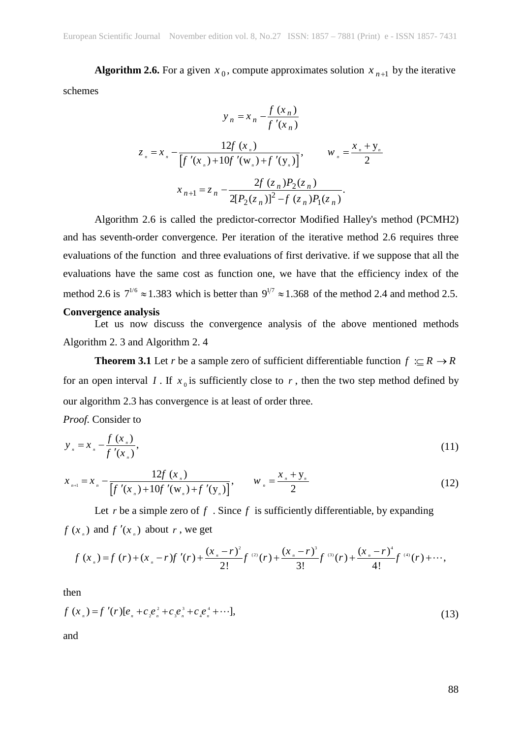**Algorithm 2.6.** For a given  $x_0$ , compute approximates solution  $x_{n+1}$  by the iterative schemes

$$
y_{n} = x_{n} - \frac{f(x_{n})}{f'(x_{n})}
$$
  

$$
z_{n} = x_{n} - \frac{12f(x_{n})}{[f'(x_{n}) + 10f'(w_{n}) + f'(y_{n})]}, \qquad w_{n} = \frac{x_{n} + y_{n}}{2}
$$
  

$$
x_{n+1} = z_{n} - \frac{2f(z_{n})P_{2}(z_{n})}{2[P_{2}(z_{n})]^{2} - f(z_{n})P_{1}(z_{n})}.
$$

Algorithm 2.6 is called the predictor-corrector Modified Halley's method (PCMH2) and has seventh-order convergence. Per iteration of the iterative method 2.6 requires three evaluations of the function and three evaluations of first derivative. if we suppose that all the evaluations have the same cost as function one, we have that the efficiency index of the method 2.6 is  $7^{1/6} \approx 1.383$  which is better than  $9^{1/7} \approx 1.368$  of the method 2.4 and method 2.5. **Convergence analysis** 

Let us now discuss the convergence analysis of the above mentioned methods Algorithm 2. 3 and Algorithm 2. 4

**Theorem 3.1** Let *r* be a sample zero of sufficient differentiable function  $f \nightharpoonup R \rightarrow R$ for an open interval *I*. If  $x_0$  is sufficiently close to *r*, then the two step method defined by our algorithm 2.3 has convergence is at least of order three.

*Proof.* Consider to

$$
y_{n} = x_{n} - \frac{f(x_{n})}{f'(x_{n})},
$$
\n(11)

$$
x_{n+1} = x_n - \frac{12f(x_n)}{[f'(x_n) + 10f'(w_n) + f'(y_n)]}, \qquad w_n = \frac{x_n + y_n}{2}
$$
 (12)

Let  $r$  be a simple zero of  $f$ . Since  $f$  is sufficiently differentiable, by expanding  $f(x)$  and  $f'(x)$  about *r*, we get

$$
f(x_n) = f(r) + (x_n - r)f'(r) + \frac{(x_n - r)^2}{2!}f^{(2)}(r) + \frac{(x_n - r)^3}{3!}f^{(3)}(r) + \frac{(x_n - r)^4}{4!}f^{(4)}(r) + \cdots,
$$

then

$$
f(x_n) = f'(r)[e_n + c_2e_n^2 + c_3e_n^3 + c_4e_n^4 + \cdots],
$$
\n(13)

and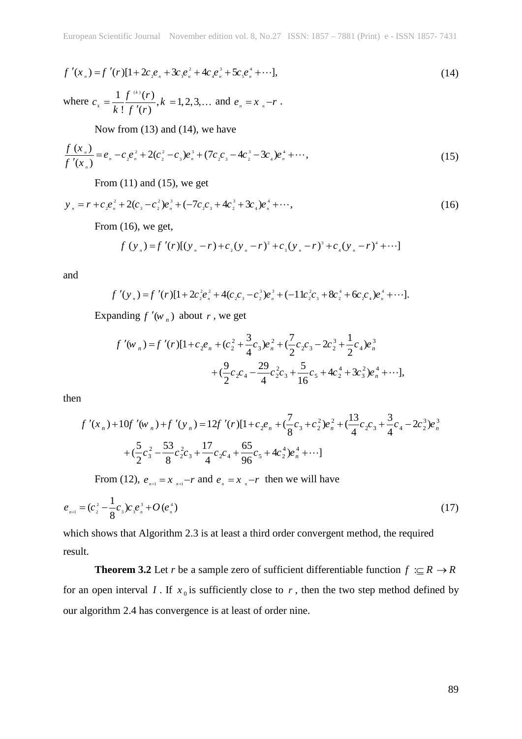$$
f'(x_n) = f'(r)[1 + 2c_2e_n + 3c_3e_n^2 + 4c_4e_n^3 + 5c_5e_n^4 + \cdots],
$$
\n(14)

where 
$$
c_k = \frac{1}{k} \frac{f^{(k)}(r)}{f'(r)}, k = 1, 2, 3, ...
$$
 and  $e_n = x_n - r$ .

Now from (13) and (14), we have

$$
\frac{f(x_n)}{f'(x_n)} = e_n - c_2 e_n^2 + 2(c_2^2 - c_3)e_n^3 + (7c_2c_3 - 4c_2^3 - 3c_4)e_n^4 + \cdots,
$$
\n(15)

From  $(11)$  and  $(15)$ , we get

$$
y_{n} = r + c_{2}e_{n}^{2} + 2(c_{3} - c_{2}^{2})e_{n}^{3} + (-7c_{2}c_{3} + 4c_{2}^{3} + 3c_{4})e_{n}^{4} + \cdots,
$$
\n(16)

From (16), we get,

$$
f(y_n) = f'(r)[(y_n - r) + c_2(y_n - r)^2 + c_3(y_n - r)^3 + c_4(y_n - r)^4 + \cdots]
$$

and

$$
f'(y_n) = f'(r)[1+2c_2^2e_n^2+4(c_2c_3-c_2^3)e_n^3+(-11c_2^2c_3+8c_2^4+6c_2c_4)e_n^4+\cdots].
$$

Expanding  $f'(w_n)$  about *r*, we get

$$
f'(w_n) = f'(r)[1 + c_2e_n + (c_2^2 + \frac{3}{4}c_3)e_n^2 + (\frac{7}{2}c_2c_3 - 2c_2^3 + \frac{1}{2}c_4)e_n^3
$$
  
+  $(\frac{9}{2}c_2c_4 - \frac{29}{4}c_2^2c_3 + \frac{5}{16}c_5 + 4c_2^4 + 3c_3^2)e_n^4 + \cdots],$ 

then

$$
f'(x_n) + 10f'(w_n) + f'(y_n) = 12f'(r)[1 + c_2e_n + (\frac{7}{8}c_3 + c_2^2)e_n^2 + (\frac{13}{4}c_2c_3 + \frac{3}{4}c_4 - 2c_2^3)e_n^3
$$
  
+  $(\frac{5}{2}c_3^2 - \frac{53}{8}c_2^2c_3 + \frac{17}{4}c_2c_4 + \frac{65}{96}c_5 + 4c_2^4)e_n^4 + \cdots]$ 

From (12),  $e_{n+1} = x_{n+1} - r$  and  $e_n = x_n - r$  then we will have

$$
e_{n+1} = (c_2^2 - \frac{1}{8}c_3)c_3e_n^3 + O(e_n^4)
$$
\n(17)

which shows that Algorithm 2.3 is at least a third order convergent method, the required result.

**Theorem 3.2** Let *r* be a sample zero of sufficient differentiable function  $f \nightharpoonup R \rightarrow R$ for an open interval *I*. If  $x_0$  is sufficiently close to *r*, then the two step method defined by our algorithm 2.4 has convergence is at least of order nine.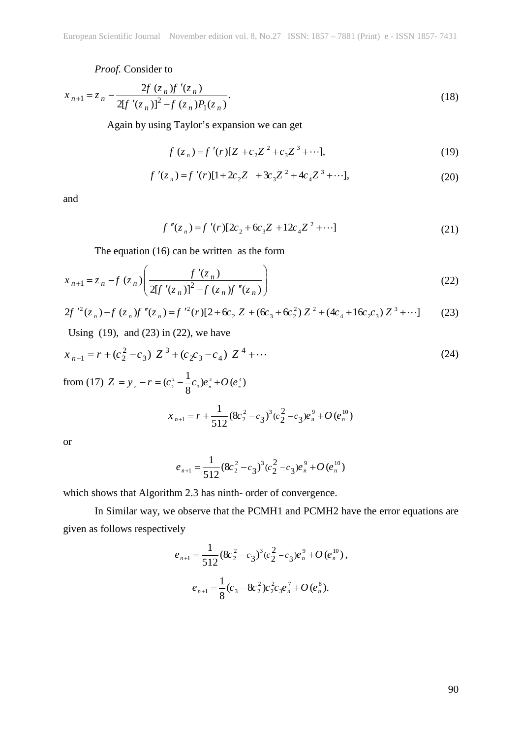### *Proof.* Consider to

$$
x_{n+1} = z_n - \frac{2f(z_n)f'(z_n)}{2[f'(z_n)]^2 - f(z_n)P_1(z_n)}.
$$
\n(18)

Again by using Taylor's expansion we can get

$$
f(z_n) = f'(r)[Z + c_2 Z^2 + c_3 Z^3 + \cdots],
$$
\n(19)

$$
f'(z_n) = f'(r)[1 + 2c_2 Z + 3c_3 Z^2 + 4c_4 Z^3 + \cdots],
$$
\n(20)

and

$$
f''(z_n) = f'(r)[2c_2 + 6c_3 Z + 12c_4 Z^2 + \cdots]
$$
 (21)

The equation (16) can be written as the form

$$
x_{n+1} = z_n - f(z_n) \left( \frac{f'(z_n)}{2[f'(z_n)]^2 - f(z_n)f''(z_n)} \right)
$$
 (22)

$$
2f'^{2}(z_{n}) - f(z_{n})f''(z_{n}) = f'^{2}(r)[2 + 6c_{2} Z + (6c_{3} + 6c_{2}^{2}) Z^{2} + (4c_{4} + 16c_{2}c_{3}) Z^{3} + \cdots] \tag{23}
$$

Using  $(19)$ , and  $(23)$  in  $(22)$ , we have

$$
x_{n+1} = r + (c_2^2 - c_3) Z^3 + (c_2 c_3 - c_4) Z^4 + \cdots
$$
 (24)

from (17)  $Z = y_n - r = (c_2^2 - \frac{1}{8}c_3)e_n^3 + O(e_n^4)$ 

$$
x_{n+1} = r + \frac{1}{512} (8c_2^2 - c_3)^3 (c_2^2 - c_3) e_n^9 + O(e_n^{10})
$$

or

$$
e_{n+1} = \frac{1}{512} (8c_2^2 - c_3)^3 (c_2^2 - c_3)^2 e_n^9 + O(e_n^{10})
$$

which shows that Algorithm 2.3 has ninth- order of convergence.

In Similar way, we observe that the PCMH1 and PCMH2 have the error equations are given as follows respectively

$$
e_{n+1} = \frac{1}{512} (8c_2^2 - c_3)^3 (c_2^2 - c_3) e_n^9 + O(e_n^{10}),
$$
  

$$
e_{n+1} = \frac{1}{8} (c_3 - 8c_2^2) c_2^2 c_3 e_n^7 + O(e_n^8).
$$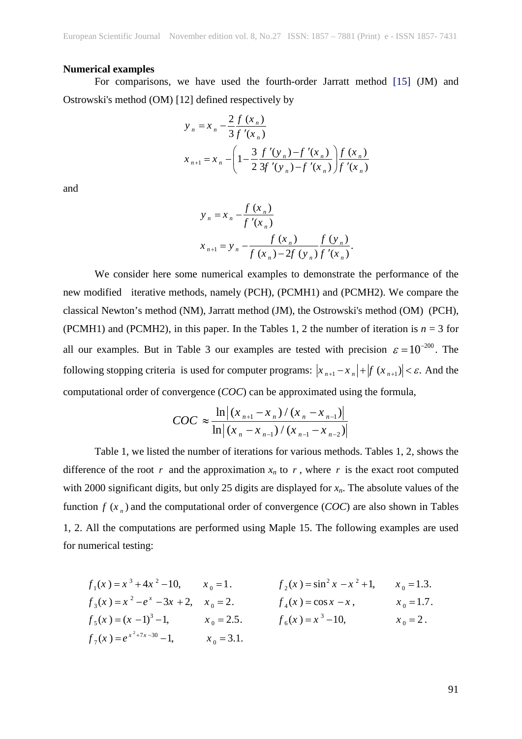#### **Numerical examples**

For comparisons, we have used the fourth-order Jarratt method [15] (JM) and Ostrowski's method (OM) [12] defined respectively by

$$
y_n = x_n - \frac{2 f(x_n)}{3 f'(x_n)}
$$
  

$$
x_{n+1} = x_n - \left(1 - \frac{3}{2} \frac{f'(y_n) - f'(x_n)}{3 f'(y_n) - f'(x_n)}\right) \frac{f(x_n)}{f'(x_n)}
$$

and

$$
y_{n} = x_{n} - \frac{f(x_{n})}{f'(x_{n})}
$$
  

$$
x_{n+1} = y_{n} - \frac{f(x_{n})}{f(x_{n}) - 2f(y_{n})} \frac{f(y_{n})}{f'(x_{n})}.
$$

We consider here some numerical examples to demonstrate the performance of the new modified iterative methods, namely (PCH), (PCMH1) and (PCMH2). We compare the classical Newton's method (NM), Jarratt method (JM), the Ostrowski's method (OM) (PCH), (PCMH1) and (PCMH2), in this paper. In the Tables 1, 2 the number of iteration is  $n = 3$  for all our examples. But in Table 3 our examples are tested with precision  $\varepsilon = 10^{-200}$ . The following stopping criteria is used for computer programs:  $|x_{n+1} - x_n| + |f(x_{n+1})| < \varepsilon$ . And the computational order of convergence (*COC*) can be approximated using the formula,

$$
COC \approx \frac{\ln|(x_{n+1} - x_n)/(x_n - x_{n-1})|}{\ln|(x_n - x_{n-1})/(x_{n-1} - x_{n-2})|}
$$

Table 1, we listed the number of iterations for various methods. Tables 1, 2, shows the difference of the root  $r$  and the approximation  $x_n$  to  $r$ , where  $r$  is the exact root computed with 2000 significant digits, but only 25 digits are displayed for  $x_n$ . The absolute values of the function  $f(x_n)$  and the computational order of convergence (*COC*) are also shown in Tables 1, 2. All the computations are performed using Maple 15. The following examples are used for numerical testing:

$$
f_1(x) = x^3 + 4x^2 - 10, \t x_0 = 1.
$$
  
\n
$$
f_2(x) = \sin^2 x - x^2 + 1, \t x_0 = 1.3.
$$
  
\n
$$
f_3(x) = x^2 - e^x - 3x + 2, \t x_0 = 2.
$$
  
\n
$$
f_4(x) = \cos x - x, \t x_0 = 1.7.
$$
  
\n
$$
f_5(x) = (x - 1)^3 - 1, \t x_0 = 2.5.
$$
  
\n
$$
f_6(x) = x^3 - 10, \t x_0 = 2.
$$
  
\n
$$
f_7(x) = e^{x^2 + 7x - 30} - 1, \t x_0 = 3.1.
$$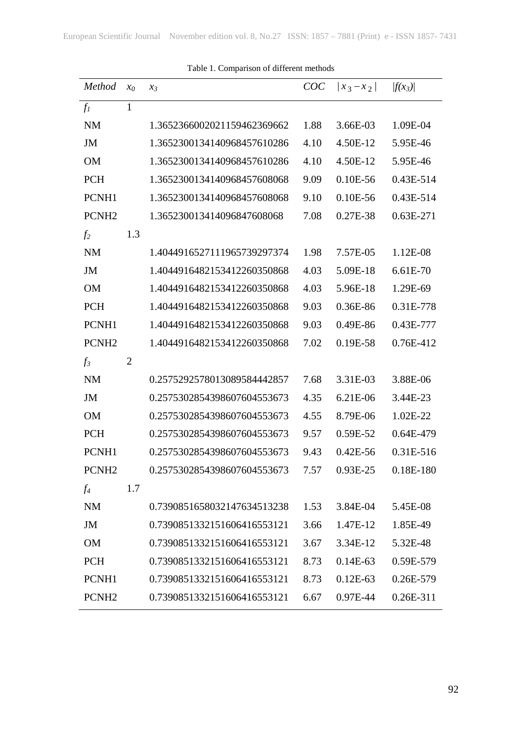| Method            | $x_0$          | $\chi_3$                    | COC  | $\left  x_{3}-x_{2}\right $ | $ f(x_3) $ |
|-------------------|----------------|-----------------------------|------|-----------------------------|------------|
| $f_I$             | 1              |                             |      |                             |            |
| <b>NM</b>         |                | 1.3652366002021159462369662 | 1.88 | 3.66E-03                    | 1.09E-04   |
| JM                |                | 1.3652300134140968457610286 | 4.10 | 4.50E-12                    | 5.95E-46   |
| <b>OM</b>         |                | 1.3652300134140968457610286 | 4.10 | 4.50E-12                    | 5.95E-46   |
| <b>PCH</b>        |                | 1.3652300134140968457608068 | 9.09 | $0.10E-56$                  | 0.43E-514  |
| PCNH1             |                | 1.3652300134140968457608068 | 9.10 | $0.10E-56$                  | 0.43E-514  |
| PCNH <sub>2</sub> |                | 1.365230013414096847608068  | 7.08 | 0.27E-38                    | 0.63E-271  |
| f <sub>2</sub>    | 1.3            |                             |      |                             |            |
| <b>NM</b>         |                | 1.4044916527111965739297374 | 1.98 | 7.57E-05                    | 1.12E-08   |
| JM                |                | 1.4044916482153412260350868 | 4.03 | 5.09E-18                    | 6.61E-70   |
| <b>OM</b>         |                | 1.4044916482153412260350868 | 4.03 | 5.96E-18                    | 1.29E-69   |
| <b>PCH</b>        |                | 1.4044916482153412260350868 | 9.03 | 0.36E-86                    | 0.31E-778  |
| PCNH1             |                | 1.4044916482153412260350868 | 9.03 | $0.49E-86$                  | 0.43E-777  |
| PCNH <sub>2</sub> |                | 1.4044916482153412260350868 | 7.02 | 0.19E-58                    | 0.76E-412  |
| $f_3$             | $\overline{2}$ |                             |      |                             |            |
| <b>NM</b>         |                | 0.2575292578013089584442857 | 7.68 | 3.31E-03                    | 3.88E-06   |
| JM                |                | 0.2575302854398607604553673 | 4.35 | 6.21E-06                    | 3.44E-23   |
| <b>OM</b>         |                | 0.2575302854398607604553673 | 4.55 | 8.79E-06                    | 1.02E-22   |
| <b>PCH</b>        |                | 0.2575302854398607604553673 | 9.57 | 0.59E-52                    | 0.64E-479  |
| PCNH1             |                | 0.2575302854398607604553673 | 9.43 | $0.42E - 56$                | 0.31E-516  |
| PCNH <sub>2</sub> |                | 0.2575302854398607604553673 | 7.57 | $0.93E-25$                  | 0.18E-180  |
| $f_4$             | 1.7            |                             |      |                             |            |
| <b>NM</b>         |                | 0.7390851658032147634513238 | 1.53 | 3.84E-04                    | 5.45E-08   |
| JM                |                | 0.7390851332151606416553121 | 3.66 | 1.47E-12                    | 1.85E-49   |
| <b>OM</b>         |                | 0.7390851332151606416553121 | 3.67 | 3.34E-12                    | 5.32E-48   |
| <b>PCH</b>        |                | 0.7390851332151606416553121 | 8.73 | $0.14E-63$                  | 0.59E-579  |
| PCNH1             |                | 0.7390851332151606416553121 | 8.73 | $0.12E-63$                  | 0.26E-579  |
| PCNH <sub>2</sub> |                | 0.7390851332151606416553121 | 6.67 | 0.97E-44                    | 0.26E-311  |

Table 1. Comparison of different methods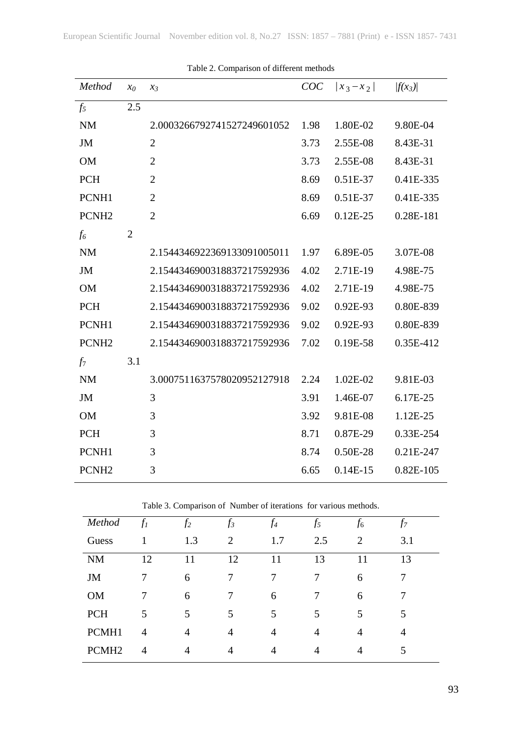| <i>Method</i>     | $x_0$          | $\chi_3$                    | COC  | $\left  x_3 - x_2 \right $ | $ f(x_3) $  |
|-------------------|----------------|-----------------------------|------|----------------------------|-------------|
| $f_5$             | 2.5            |                             |      |                            |             |
| <b>NM</b>         |                | 2.0003266792741527249601052 | 1.98 | 1.80E-02                   | 9.80E-04    |
| <b>JM</b>         |                | $\overline{2}$              | 3.73 | 2.55E-08                   | 8.43E-31    |
| <b>OM</b>         |                | $\overline{2}$              | 3.73 | 2.55E-08                   | 8.43E-31    |
| <b>PCH</b>        |                | $\overline{2}$              | 8.69 | 0.51E-37                   | 0.41E-335   |
| PCNH1             |                | $\overline{2}$              | 8.69 | 0.51E-37                   | 0.41E-335   |
| PCNH <sub>2</sub> |                | $\overline{2}$              | 6.69 | $0.12E-25$                 | 0.28E-181   |
| $f_6$             | $\overline{2}$ |                             |      |                            |             |
| <b>NM</b>         |                | 2.1544346922369133091005011 | 1.97 | 6.89E-05                   | 3.07E-08    |
| JM                |                | 2.1544346900318837217592936 | 4.02 | 2.71E-19                   | 4.98E-75    |
| <b>OM</b>         |                | 2.1544346900318837217592936 | 4.02 | 2.71E-19                   | 4.98E-75    |
| <b>PCH</b>        |                | 2.1544346900318837217592936 | 9.02 | 0.92E-93                   | 0.80E-839   |
| PCNH1             |                | 2.1544346900318837217592936 | 9.02 | 0.92E-93                   | 0.80E-839   |
| PCNH <sub>2</sub> |                | 2.1544346900318837217592936 | 7.02 | 0.19E-58                   | 0.35E-412   |
| $f_7$             | 3.1            |                             |      |                            |             |
| <b>NM</b>         |                | 3.0007511637578020952127918 | 2.24 | 1.02E-02                   | 9.81E-03    |
| JM                |                | 3                           | 3.91 | 1.46E-07                   | 6.17E-25    |
| <b>OM</b>         |                | 3                           | 3.92 | 9.81E-08                   | 1.12E-25    |
| <b>PCH</b>        |                | 3                           | 8.71 | 0.87E-29                   | 0.33E-254   |
| PCNH1             |                | 3                           | 8.74 | 0.50E-28                   | 0.21E-247   |
| PCNH <sub>2</sub> |                | 3                           | 6.65 | $0.14E-15$                 | $0.82E-105$ |

|  | Table 2. Comparison of different methods |  |  |
|--|------------------------------------------|--|--|
|--|------------------------------------------|--|--|

Table 3. Comparison of Number of iterations for various methods.

| Method            | $f_I$ | f <sub>2</sub> | $f_3$ | f4  | f5  | J6             | J7  |  |
|-------------------|-------|----------------|-------|-----|-----|----------------|-----|--|
| Guess             |       | 1.3            | 2     | 1.7 | 2.5 | 2              | 3.1 |  |
| <b>NM</b>         | 12    | 11             | 12    | 11  | 13  | 11             | 13  |  |
| JM                | 7     | 6              | 7     | 7   | 7   | 6              | 7   |  |
| <b>OM</b>         |       | 6              |       | 6   |     | 6              |     |  |
| <b>PCH</b>        | 5     | 5              | 5     | 5   | 5   | 5              | 5   |  |
| PCMH1             | 4     | $\overline{4}$ | 4     | 4   | 4   | $\overline{4}$ | 4   |  |
| PCMH <sub>2</sub> | 4     | 4              | 4     | 4   | 4   | 4              | 5   |  |
|                   |       |                |       |     |     |                |     |  |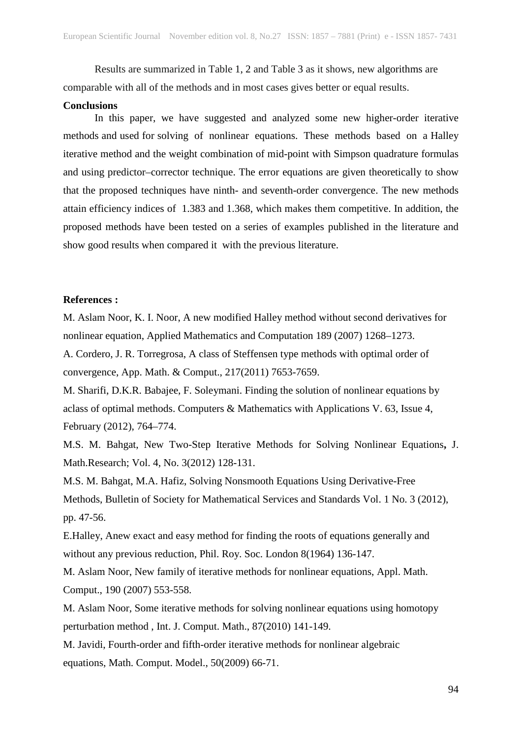Results are summarized in Table 1, 2 and Table 3 as it shows, new algorithms are comparable with all of the methods and in most cases gives better or equal results.

#### **Conclusions**

In this paper, we have suggested and analyzed some new higher-order iterative methods and used for solving of nonlinear equations. These methods based on a Halley iterative method and the weight combination of mid-point with Simpson quadrature formulas and using predictor–corrector technique. The error equations are given theoretically to show that the proposed techniques have ninth- and seventh-order convergence. The new methods attain efficiency indices of 1.383 and 1.368, which makes them competitive. In addition, the proposed methods have been tested on a series of examples published in the literature and show good results when compared it with the previous literature.

### **References :**

M. Aslam Noor, K. I. Noor, A new modified Halley method without second derivatives for nonlinear equation, Applied Mathematics and Computation 189 (2007) 1268–1273.

A. Cordero, J. R. Torregrosa, A class of Steffensen type methods with optimal order of convergence, App. Math. & Comput., 217(2011) 7653-7659.

M. Sharifi, D.K.R. Babajee, F. Soleymani. Finding the solution of nonlinear equations by aclass of optimal methods. Computers & Mathematics with Applications V. 63, Issue 4, February (2012), 764–774.

M.S. M. Bahgat, New Two-Step Iterative Methods for Solving Nonlinear Equations**,** J. Math.Research; Vol. 4, No. 3(2012) 128-131.

M.S. M. Bahgat, M.A. Hafiz, Solving Nonsmooth Equations Using Derivative-Free Methods, Bulletin of Society for Mathematical Services and Standards Vol. 1 No. 3 (2012), pp. 47-56.

E.Halley, Anew exact and easy method for finding the roots of equations generally and without any previous reduction, Phil. Roy. Soc. London 8(1964) 136-147.

M. Aslam Noor, New family of iterative methods for nonlinear equations, Appl. Math. Comput., 190 (2007) 553-558.

M. Aslam Noor, Some iterative methods for solving nonlinear equations using homotopy perturbation method , Int. J. Comput. Math., 87(2010) 141-149.

M. Javidi, Fourth-order and fifth-order iterative methods for nonlinear algebraic equations, Math. Comput. Model., 50(2009) 66-71.